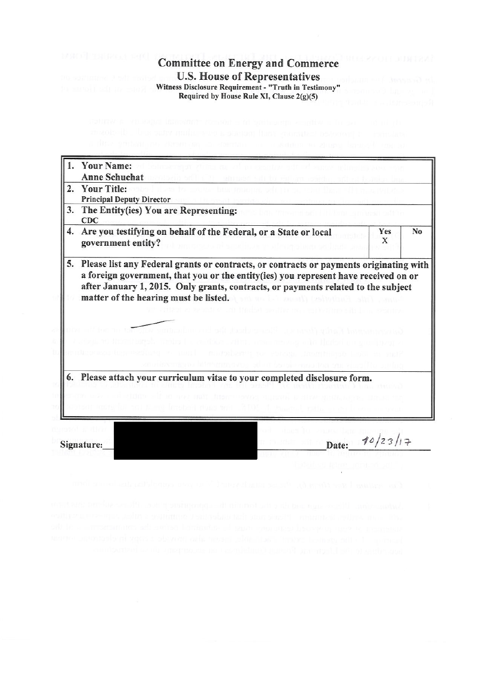**Committee on Energy and Commerce U.S. House of Representatives** Witness Disclosure Requirement - "Truth in Testimony" Required by House Rule XI, Clause 2(g)(5)

| 1. | <b>Your Name:</b><br><b>Anne Schuchat</b>                                                                                                                                                                                                                                                                   |          |                |
|----|-------------------------------------------------------------------------------------------------------------------------------------------------------------------------------------------------------------------------------------------------------------------------------------------------------------|----------|----------------|
| 2. | <b>Your Title:</b><br><b>Principal Deputy Director</b><br>The Entity(ies) You are Representing:<br>CDC                                                                                                                                                                                                      |          |                |
| 3. |                                                                                                                                                                                                                                                                                                             |          |                |
| 4. | Are you testifying on behalf of the Federal, or a State or local<br>government entity?                                                                                                                                                                                                                      | Yes<br>X | N <sub>0</sub> |
| 5. | Please list any Federal grants or contracts, or contracts or payments originating with<br>a foreign government, that you or the entity(ies) you represent have received on or<br>after January 1, 2015. Only grants, contracts, or payments related to the subject<br>matter of the hearing must be listed. |          |                |
|    | 6. Please attach your curriculum vitae to your completed disclosure form.                                                                                                                                                                                                                                   |          |                |
|    |                                                                                                                                                                                                                                                                                                             | 10/23/17 |                |

Date:

Signature: